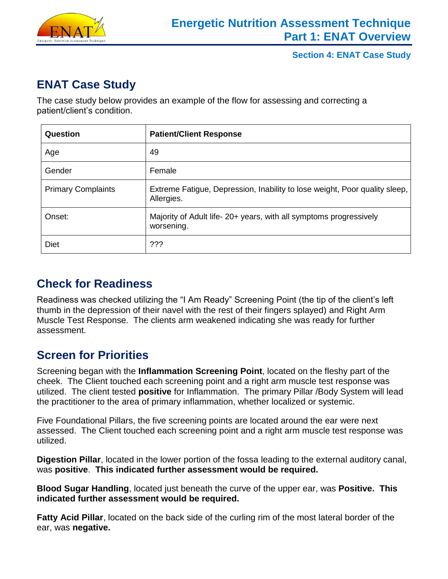

# **ENAT Case Study**

The case study below provides an example of the flow for assessing and correcting a patient/client's condition.

| Question                  | <b>Patient/Client Response</b>                                                           |
|---------------------------|------------------------------------------------------------------------------------------|
| Age                       | 49                                                                                       |
| Gender                    | Female                                                                                   |
| <b>Primary Complaints</b> | Extreme Fatigue, Depression, Inability to lose weight, Poor quality sleep,<br>Allergies. |
| Onset:                    | Majority of Adult life- 20+ years, with all symptoms progressively<br>worsening.         |
| <b>Diet</b>               | ???                                                                                      |

# **Check for Readiness**

Readiness was checked utilizing the "I Am Ready" Screening Point (the tip of the client's left thumb in the depression of their navel with the rest of their fingers splayed) and Right Arm Muscle Test Response. The clients arm weakened indicating she was ready for further assessment.

# **Screen for Priorities**

Screening began with the **Inflammation Screening Point**, located on the fleshy part of the cheek. The Client touched each screening point and a right arm muscle test response was utilized. The client tested **positive** for Inflammation. The primary Pillar /Body System will lead the practitioner to the area of primary inflammation, whether localized or systemic.

Five Foundational Pillars, the five screening points are located around the ear were next assessed. The Client touched each screening point and a right arm muscle test response was utilized.

**Digestion Pillar**, located in the lower portion of the fossa leading to the external auditory canal, was **positive**. **This indicated further assessment would be required.**

**Blood Sugar Handling**, located just beneath the curve of the upper ear, was **Positive. This indicated further assessment would be required.**

**Fatty Acid Pillar**, located on the back side of the curling rim of the most lateral border of the ear, was **negative.**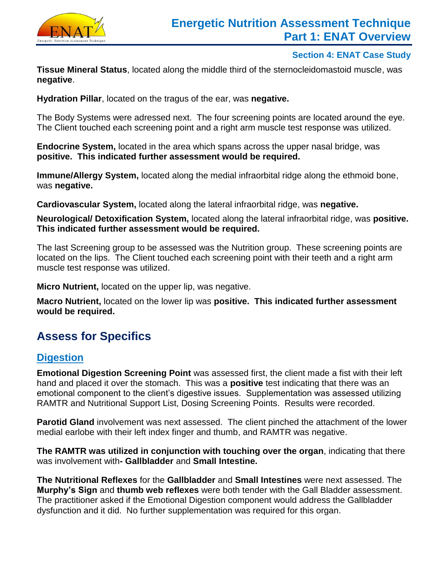

**Tissue Mineral Status**, located along the middle third of the sternocleidomastoid muscle, was **negative**.

**Hydration Pillar**, located on the tragus of the ear, was **negative.**

The Body Systems were adressed next. The four screening points are located around the eye. The Client touched each screening point and a right arm muscle test response was utilized.

**Endocrine System,** located in the area which spans across the upper nasal bridge, was **positive. This indicated further assessment would be required.**

**Immune/Allergy System,** located along the medial infraorbital ridge along the ethmoid bone, was **negative.**

**Cardiovascular System,** located along the lateral infraorbital ridge, was **negative.**

**Neurological/ Detoxification System,** located along the lateral infraorbital ridge, was **positive. This indicated further assessment would be required.**

The last Screening group to be assessed was the Nutrition group. These screening points are located on the lips. The Client touched each screening point with their teeth and a right arm muscle test response was utilized.

**Micro Nutrient,** located on the upper lip, was negative.

**Macro Nutrient,** located on the lower lip was **positive. This indicated further assessment would be required.**

# **Assess for Specifics**

### **Digestion**

**Emotional Digestion Screening Point** was assessed first, the client made a fist with their left hand and placed it over the stomach. This was a **positive** test indicating that there was an emotional component to the client's digestive issues. Supplementation was assessed utilizing RAMTR and Nutritional Support List, Dosing Screening Points. Results were recorded.

**Parotid Gland** involvement was next assessed. The client pinched the attachment of the lower medial earlobe with their left index finger and thumb, and RAMTR was negative.

**The RAMTR was utilized in conjunction with touching over the organ**, indicating that there was involvement with**- Gallbladder** and **Small Intestine.**

**The Nutritional Reflexes** for the **Gallbladder** and **Small Intestines** were next assessed. The **Murphy's Sign** and **thumb web reflexes** were both tender with the Gall Bladder assessment. The practitioner asked if the Emotional Digestion component would address the Gallbladder dysfunction and it did. No further supplementation was required for this organ.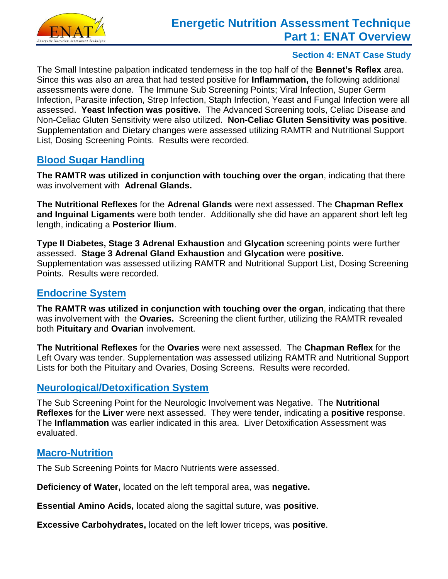

The Small Intestine palpation indicated tenderness in the top half of the **Bennet's Reflex** area. Since this was also an area that had tested positive for **Inflammation,** the following additional assessments were done. The Immune Sub Screening Points; Viral Infection, Super Germ Infection, Parasite infection, Strep Infection, Staph Infection, Yeast and Fungal Infection were all assessed. **Yeast Infection was positive.** The Advanced Screening tools, Celiac Disease and Non-Celiac Gluten Sensitivity were also utilized. **Non-Celiac Gluten Sensitivity was positive**. Supplementation and Dietary changes were assessed utilizing RAMTR and Nutritional Support List, Dosing Screening Points. Results were recorded.

### **Blood Sugar Handling**

**The RAMTR was utilized in conjunction with touching over the organ**, indicating that there was involvement with **Adrenal Glands.**

**The Nutritional Reflexes** for the **Adrenal Glands** were next assessed. The **Chapman Reflex and Inguinal Ligaments** were both tender. Additionally she did have an apparent short left leg length, indicating a **Posterior Ilium**.

**Type II Diabetes, Stage 3 Adrenal Exhaustion** and **Glycation** screening points were further assessed. **Stage 3 Adrenal Gland Exhaustion** and **Glycation** were **positive.** Supplementation was assessed utilizing RAMTR and Nutritional Support List, Dosing Screening Points. Results were recorded.

### **Endocrine System**

**The RAMTR was utilized in conjunction with touching over the organ**, indicating that there was involvement with the **Ovaries.** Screening the client further, utilizing the RAMTR revealed both **Pituitary** and **Ovarian** involvement.

**The Nutritional Reflexes** for the **Ovaries** were next assessed. The **Chapman Reflex** for the Left Ovary was tender. Supplementation was assessed utilizing RAMTR and Nutritional Support Lists for both the Pituitary and Ovaries, Dosing Screens. Results were recorded.

### **Neurological/Detoxification System**

The Sub Screening Point for the Neurologic Involvement was Negative. The **Nutritional Reflexes** for the **Liver** were next assessed. They were tender, indicating a **positive** response. The **Inflammation** was earlier indicated in this area. Liver Detoxification Assessment was evaluated.

### **Macro-Nutrition**

The Sub Screening Points for Macro Nutrients were assessed.

**Deficiency of Water,** located on the left temporal area, was **negative.**

**Essential Amino Acids,** located along the sagittal suture, was **positive**.

**Excessive Carbohydrates,** located on the left lower triceps, was **positive**.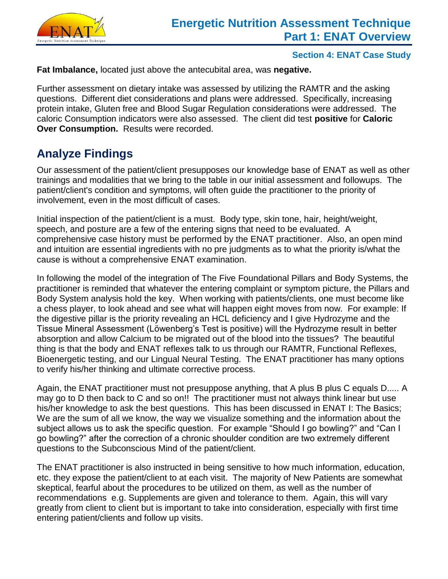

**Fat Imbalance,** located just above the antecubital area, was **negative.**

Further assessment on dietary intake was assessed by utilizing the RAMTR and the asking questions. Different diet considerations and plans were addressed. Specifically, increasing protein intake, Gluten free and Blood Sugar Regulation considerations were addressed. The caloric Consumption indicators were also assessed. The client did test **positive** for **Caloric Over Consumption.** Results were recorded.

# **Analyze Findings**

Our assessment of the patient/client presupposes our knowledge base of ENAT as well as other trainings and modalities that we bring to the table in our initial assessment and followups. The patient/client's condition and symptoms, will often guide the practitioner to the priority of involvement, even in the most difficult of cases.

Initial inspection of the patient/client is a must. Body type, skin tone, hair, height/weight, speech, and posture are a few of the entering signs that need to be evaluated. A comprehensive case history must be performed by the ENAT practitioner. Also, an open mind and intuition are essential ingredients with no pre judgments as to what the priority is/what the cause is without a comprehensive ENAT examination.

In following the model of the integration of The Five Foundational Pillars and Body Systems, the practitioner is reminded that whatever the entering complaint or symptom picture, the Pillars and Body System analysis hold the key. When working with patients/clients, one must become like a chess player, to look ahead and see what will happen eight moves from now. For example: If the digestive pillar is the priority revealing an HCL deficiency and I give Hydrozyme and the Tissue Mineral Assessment (Löwenberg's Test is positive) will the Hydrozyme result in better absorption and allow Calcium to be migrated out of the blood into the tissues? The beautiful thing is that the body and ENAT reflexes talk to us through our RAMTR, Functional Reflexes, Bioenergetic testing, and our Lingual Neural Testing. The ENAT practitioner has many options to verify his/her thinking and ultimate corrective process.

Again, the ENAT practitioner must not presuppose anything, that A plus B plus C equals D..... A may go to D then back to C and so on!! The practitioner must not always think linear but use his/her knowledge to ask the best questions. This has been discussed in ENAT I: The Basics; We are the sum of all we know, the way we visualize something and the information about the subject allows us to ask the specific question. For example "Should I go bowling?" and "Can I go bowling?" after the correction of a chronic shoulder condition are two extremely different questions to the Subconscious Mind of the patient/client.

The ENAT practitioner is also instructed in being sensitive to how much information, education, etc. they expose the patient/client to at each visit. The majority of New Patients are somewhat skeptical, fearful about the procedures to be utilized on them, as well as the number of recommendations e.g. Supplements are given and tolerance to them. Again, this will vary greatly from client to client but is important to take into consideration, especially with first time entering patient/clients and follow up visits.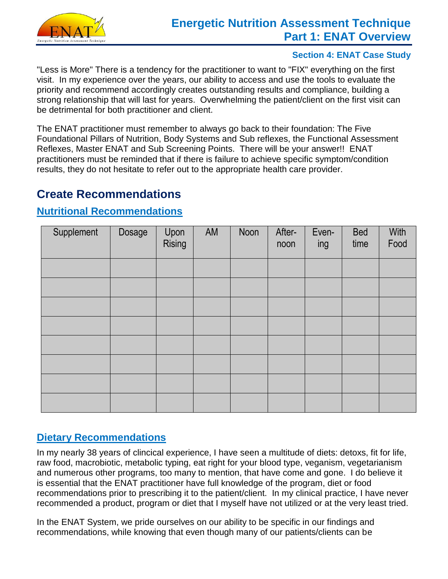

## **Energetic Nutrition Assessment Technique Part 1: ENAT Overview**

#### **Section 4: ENAT Case Study**

"Less is More" There is a tendency for the practitioner to want to "FIX" everything on the first visit. In my experience over the years, our ability to access and use the tools to evaluate the priority and recommend accordingly creates outstanding results and compliance, building a strong relationship that will last for years. Overwhelming the patient/client on the first visit can be detrimental for both practitioner and client.

The ENAT practitioner must remember to always go back to their foundation: The Five Foundational Pillars of Nutrition, Body Systems and Sub reflexes, the Functional Assessment Reflexes, Master ENAT and Sub Screening Points. There will be your answer!! ENAT practitioners must be reminded that if there is failure to achieve specific symptom/condition results, they do not hesitate to refer out to the appropriate health care provider.

## **Create Recommendations**

### **Nutritional Recommendations**

| Supplement | Dosage | Upon<br><b>Rising</b> | AM | Noon | After-<br>noon | Even-<br>ing | <b>Bed</b><br>time | With<br>Food |
|------------|--------|-----------------------|----|------|----------------|--------------|--------------------|--------------|
|            |        |                       |    |      |                |              |                    |              |
|            |        |                       |    |      |                |              |                    |              |
|            |        |                       |    |      |                |              |                    |              |
|            |        |                       |    |      |                |              |                    |              |
|            |        |                       |    |      |                |              |                    |              |
|            |        |                       |    |      |                |              |                    |              |
|            |        |                       |    |      |                |              |                    |              |
|            |        |                       |    |      |                |              |                    |              |

### **Dietary Recommendations**

In my nearly 38 years of clincical experience, I have seen a multitude of diets: detoxs, fit for life, raw food, macrobiotic, metabolic typing, eat right for your blood type, veganism, vegetarianism and numerous other programs, too many to mention, that have come and gone. I do believe it is essential that the ENAT practitioner have full knowledge of the program, diet or food recommendations prior to prescribing it to the patient/client. In my clinical practice, I have never recommended a product, program or diet that I myself have not utilized or at the very least tried.

In the ENAT System, we pride ourselves on our ability to be specific in our findings and recommendations, while knowing that even though many of our patients/clients can be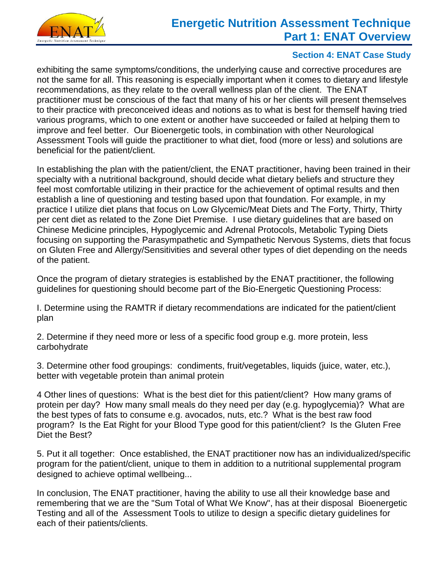

## **Energetic Nutrition Assessment Technique Part 1: ENAT Overview**

#### **Section 4: ENAT Case Study**

exhibiting the same symptoms/conditions, the underlying cause and corrective procedures are not the same for all. This reasoning is especially important when it comes to dietary and lifestyle recommendations, as they relate to the overall wellness plan of the client. The ENAT practitioner must be conscious of the fact that many of his or her clients will present themselves to their practice with preconceived ideas and notions as to what is best for themself having tried various programs, which to one extent or another have succeeded or failed at helping them to improve and feel better. Our Bioenergetic tools, in combination with other Neurological Assessment Tools will guide the practitioner to what diet, food (more or less) and solutions are beneficial for the patient/client.

In establishing the plan with the patient/client, the ENAT practitioner, having been trained in their specialty with a nutritional background, should decide what dietary beliefs and structure they feel most comfortable utilizing in their practice for the achievement of optimal results and then establish a line of questioning and testing based upon that foundation. For example, in my practice I utilize diet plans that focus on Low Glycemic/Meat Diets and The Forty, Thirty, Thirty per cent diet as related to the Zone Diet Premise. I use dietary guidelines that are based on Chinese Medicine principles, Hypoglycemic and Adrenal Protocols, Metabolic Typing Diets focusing on supporting the Parasympathetic and Sympathetic Nervous Systems, diets that focus on Gluten Free and Allergy/Sensitivities and several other types of diet depending on the needs of the patient.

Once the program of dietary strategies is established by the ENAT practitioner, the following guidelines for questioning should become part of the Bio-Energetic Questioning Process:

I. Determine using the RAMTR if dietary recommendations are indicated for the patient/client plan

2. Determine if they need more or less of a specific food group e.g. more protein, less carbohydrate

3. Determine other food groupings: condiments, fruit/vegetables, liquids (juice, water, etc.), better with vegetable protein than animal protein

4 Other lines of questions: What is the best diet for this patient/client? How many grams of protein per day? How many small meals do they need per day (e.g. hypoglycemia)? What are the best types of fats to consume e.g. avocados, nuts, etc.? What is the best raw food program? Is the Eat Right for your Blood Type good for this patient/client? Is the Gluten Free Diet the Best?

5. Put it all together: Once established, the ENAT practitioner now has an individualized/specific program for the patient/client, unique to them in addition to a nutritional supplemental program designed to achieve optimal wellbeing...

In conclusion, The ENAT practitioner, having the ability to use all their knowledge base and remembering that we are the "Sum Total of What We Know", has at their disposal Bioenergetic Testing and all of the Assessment Tools to utilize to design a specific dietary guidelines for each of their patients/clients.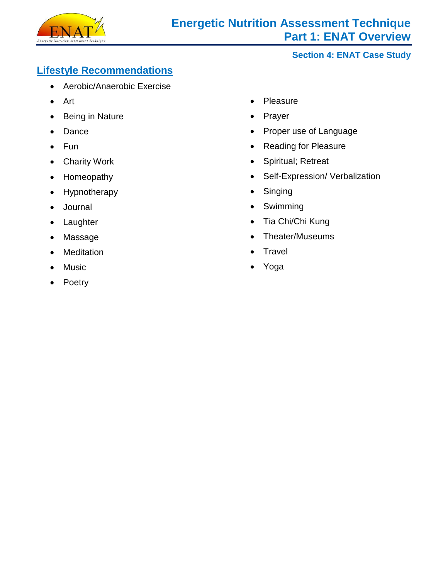

### **Lifestyle Recommendations**

- Aerobic/Anaerobic Exercise
- Art
- Being in Nature
- Dance
- Fun
- Charity Work
- Homeopathy
- Hypnotherapy
- Journal
- Laughter
- Massage
- **Meditation**
- Music
- Poetry
- Pleasure
- Prayer
- Proper use of Language
- Reading for Pleasure
- Spiritual; Retreat
- Self-Expression/ Verbalization
- Singing
- Swimming
- Tia Chi/Chi Kung
- Theater/Museums
- **Travel**
- Yoga